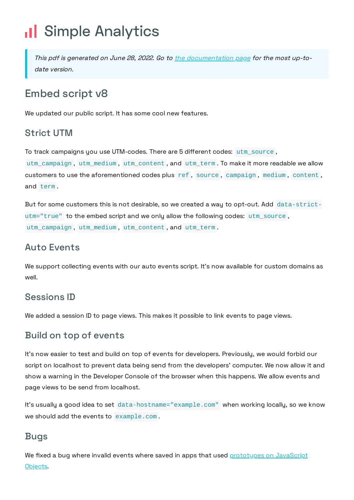# Il Simple Analytics

This pdf is generated on June 28, 2022. Go to the [documentation](https://docs.simpleanalytics.com/script/v8?ref=pdf) page for the most up-todate version.

## Embed script v8

We updated our public script. It has some cool new features.

#### Strict UTM

To track campaigns you use UTM-codes. There are 5 different codes: utm\_source ,

utm\_campaign , utm\_medium , utm\_content , and utm\_term . To make it more readable we allow customers to use the aforementioned codes plus ref , source , campaign , medium , content , and term .

But for some customers this is not desirable, so we created a way to opt-out. Add data-strictutm="true" to the embed script and we only allow the following codes: utm\_source , utm\_campaign , utm\_medium , utm\_content , and utm\_term .

#### Auto Events

We support collecting events with our auto events script. It's now available for custom domains as well.

### Sessions ID

We added a session ID to page views. This makes it possible to link events to page views.

#### Build on top of events

It's now easier to test and build on top of events for developers. Previously, we would forbid our script on localhost to prevent data being send from the developers' computer. We now allow it and show a warning in the Developer Console of the browser when this happens. We allow events and page views to be send from localhost.

It's usually a good idea to set data-hostname="example.com" when working locally, so we know we should add the events to example.com .

#### Bugs

We fixed a bug where invalid events where saved in apps that used [prototypes](https://developer.mozilla.org/en-US/docs/Learn/JavaScript/Objects/Object_prototypes) on JavaScript Objects.